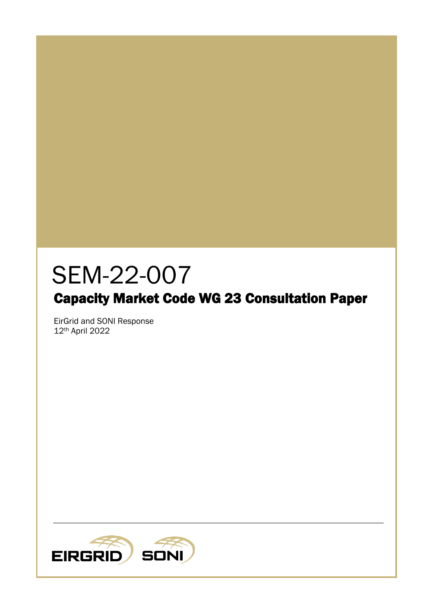# SEM-22-007

# Capacity Market Code WG 23 Consultation Paper

EirGrid and SONI Response 12th April 2022

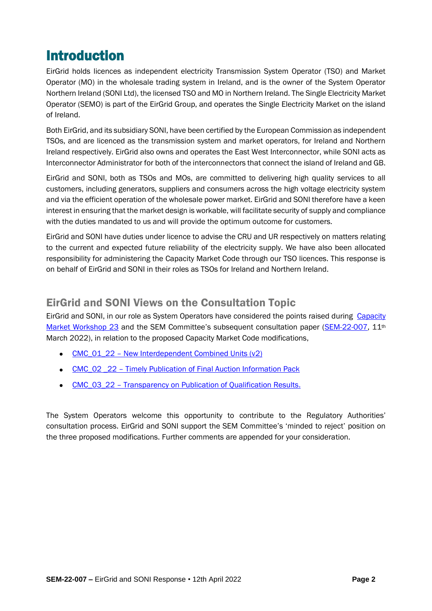## Introduction

EirGrid holds licences as independent electricity Transmission System Operator (TSO) and Market Operator (MO) in the wholesale trading system in Ireland, and is the owner of the System Operator Northern Ireland (SONI Ltd), the licensed TSO and MO in Northern Ireland. The Single Electricity Market Operator (SEMO) is part of the EirGrid Group, and operates the Single Electricity Market on the island of Ireland.

Both EirGrid, and its subsidiary SONI, have been certified by the European Commission as independent TSOs, and are licenced as the transmission system and market operators, for Ireland and Northern Ireland respectively. EirGrid also owns and operates the East West Interconnector, while SONI acts as Interconnector Administrator for both of the interconnectors that connect the island of Ireland and GB.

EirGrid and SONI, both as TSOs and MOs, are committed to delivering high quality services to all customers, including generators, suppliers and consumers across the high voltage electricity system and via the efficient operation of the wholesale power market. EirGrid and SONI therefore have a keen interest in ensuring that the market design is workable, will facilitate security of supply and compliance with the duties mandated to us and will provide the optimum outcome for customers.

EirGrid and SONI have duties under licence to advise the CRU and UR respectively on matters relating to the current and expected future reliability of the electricity supply. We have also been allocated responsibility for administering the Capacity Market Code through our TSO licences. This response is on behalf of EirGrid and SONI in their roles as TSOs for Ireland and Northern Ireland.

### EirGrid and SONI Views on the Consultation Topic

EirGrid and SONI, in our role as System Operators have considered the points raised during Capacity [Market Workshop 23](https://www.sem-o.com/events/capacity-market-modificat-41/index.xml) and the SEM Committee's subsequent consultation paper ([SEM-22-007,](https://www.semcommittee.com/sites/semc/files/media-files/SEM-22-007%20WG23%20Consultation%20Paper.pdf) 11<sup>th</sup>) March 2022), in relation to the proposed Capacity Market Code modifications,

- CMC\_01\_22 New Interdependent Combined Units  $(v2)$
- CMC\_02 22 [Timely Publication of Final Auction Information Pack](https://www.semcommittee.com/sites/semc/files/media-files/SEM-22-007%20Appendix%20B%282%29%20-%20CMC_02_22.pdf)
- CMC\_03\_22 [Transparency on Publication of Qualification Results.](https://www.semcommittee.com/sites/semc/files/media-files/SEM-22-007%20Appendix%20B%283%29%20-%20CMC_03_22.pdf)

The System Operators welcome this opportunity to contribute to the Regulatory Authorities' consultation process. EirGrid and SONI support the SEM Committee's 'minded to reject' position on the three proposed modifications. Further comments are appended for your consideration.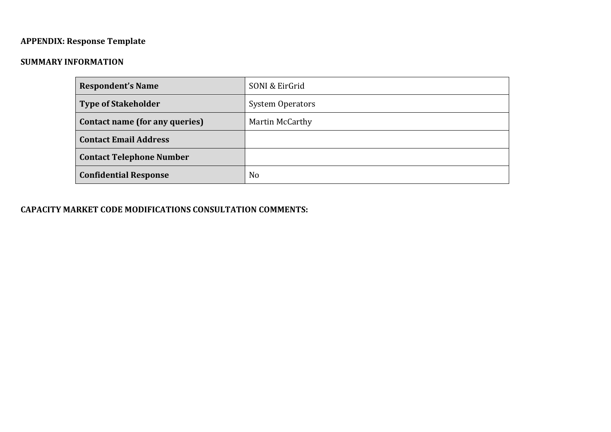## **APPENDIX: Response Template**

#### **SUMMARY INFORMATION**

| <b>Respondent's Name</b>        | SONI & EirGrid          |
|---------------------------------|-------------------------|
| <b>Type of Stakeholder</b>      | <b>System Operators</b> |
| Contact name (for any queries)  | Martin McCarthy         |
| <b>Contact Email Address</b>    |                         |
| <b>Contact Telephone Number</b> |                         |
| <b>Confidential Response</b>    | N <sub>o</sub>          |

#### **CAPACITY MARKET CODE MODIFICATIONS CONSULTATION COMMENTS:**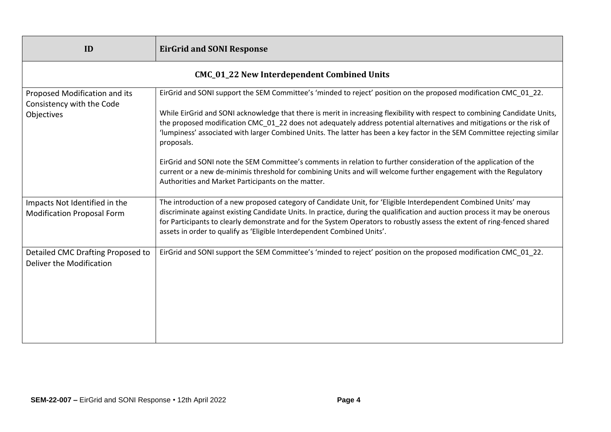| ID                                                                       | <b>EirGrid and SONI Response</b>                                                                                                                                                                                                                                                                                                                                                                                                                                                                                     |  |
|--------------------------------------------------------------------------|----------------------------------------------------------------------------------------------------------------------------------------------------------------------------------------------------------------------------------------------------------------------------------------------------------------------------------------------------------------------------------------------------------------------------------------------------------------------------------------------------------------------|--|
| <b>CMC_01_22 New Interdependent Combined Units</b>                       |                                                                                                                                                                                                                                                                                                                                                                                                                                                                                                                      |  |
| Proposed Modification and its<br>Consistency with the Code<br>Objectives | EirGrid and SONI support the SEM Committee's 'minded to reject' position on the proposed modification CMC 01 22.<br>While EirGrid and SONI acknowledge that there is merit in increasing flexibility with respect to combining Candidate Units,<br>the proposed modification CMC_01_22 does not adequately address potential alternatives and mitigations or the risk of<br>'lumpiness' associated with larger Combined Units. The latter has been a key factor in the SEM Committee rejecting similar<br>proposals. |  |
|                                                                          | EirGrid and SONI note the SEM Committee's comments in relation to further consideration of the application of the<br>current or a new de-minimis threshold for combining Units and will welcome further engagement with the Regulatory<br>Authorities and Market Participants on the matter.                                                                                                                                                                                                                         |  |
| Impacts Not Identified in the<br><b>Modification Proposal Form</b>       | The introduction of a new proposed category of Candidate Unit, for 'Eligible Interdependent Combined Units' may<br>discriminate against existing Candidate Units. In practice, during the qualification and auction process it may be onerous<br>for Participants to clearly demonstrate and for the System Operators to robustly assess the extent of ring-fenced shared<br>assets in order to qualify as 'Eligible Interdependent Combined Units'.                                                                 |  |
| Detailed CMC Drafting Proposed to<br>Deliver the Modification            | EirGrid and SONI support the SEM Committee's 'minded to reject' position on the proposed modification CMC 01 22.                                                                                                                                                                                                                                                                                                                                                                                                     |  |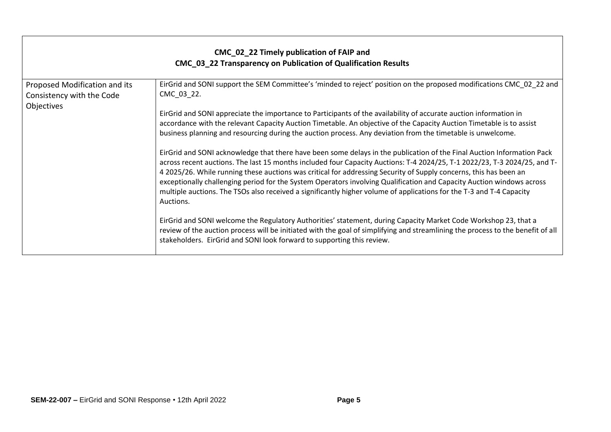| CMC_02_22 Timely publication of FAIP and<br>CMC_03_22 Transparency on Publication of Qualification Results |                                                                                                                                                                                                                                                                                                                                                                                                                                                                                                                                                                                                                                                                                                                                                                                                                                                                                                                                                                                                                                                                                                                                          |  |
|------------------------------------------------------------------------------------------------------------|------------------------------------------------------------------------------------------------------------------------------------------------------------------------------------------------------------------------------------------------------------------------------------------------------------------------------------------------------------------------------------------------------------------------------------------------------------------------------------------------------------------------------------------------------------------------------------------------------------------------------------------------------------------------------------------------------------------------------------------------------------------------------------------------------------------------------------------------------------------------------------------------------------------------------------------------------------------------------------------------------------------------------------------------------------------------------------------------------------------------------------------|--|
| Proposed Modification and its<br>Consistency with the Code<br>Objectives                                   | EirGrid and SONI support the SEM Committee's 'minded to reject' position on the proposed modifications CMC_02_22 and<br>CMC_03_22.<br>EirGrid and SONI appreciate the importance to Participants of the availability of accurate auction information in<br>accordance with the relevant Capacity Auction Timetable. An objective of the Capacity Auction Timetable is to assist<br>business planning and resourcing during the auction process. Any deviation from the timetable is unwelcome.<br>EirGrid and SONI acknowledge that there have been some delays in the publication of the Final Auction Information Pack<br>across recent auctions. The last 15 months included four Capacity Auctions: T-4 2024/25, T-1 2022/23, T-3 2024/25, and T-<br>4 2025/26. While running these auctions was critical for addressing Security of Supply concerns, this has been an<br>exceptionally challenging period for the System Operators involving Qualification and Capacity Auction windows across<br>multiple auctions. The TSOs also received a significantly higher volume of applications for the T-3 and T-4 Capacity<br>Auctions. |  |
|                                                                                                            | EirGrid and SONI welcome the Regulatory Authorities' statement, during Capacity Market Code Workshop 23, that a<br>review of the auction process will be initiated with the goal of simplifying and streamlining the process to the benefit of all<br>stakeholders. EirGrid and SONI look forward to supporting this review.                                                                                                                                                                                                                                                                                                                                                                                                                                                                                                                                                                                                                                                                                                                                                                                                             |  |